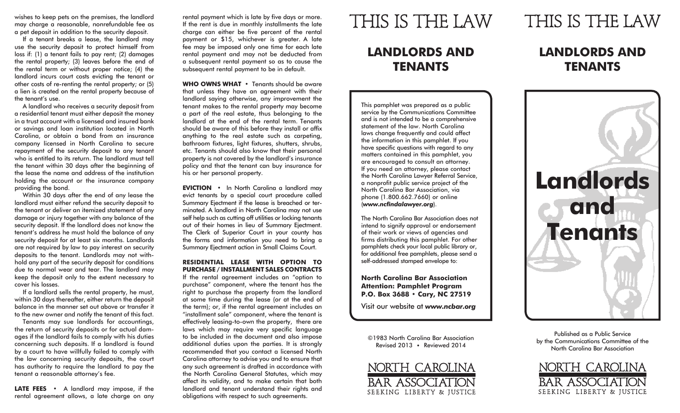wishes to keep pets on the premises, the landlord may charge a reasonable, nonrefundable fee as a pet deposit in addition to the security deposit.

If a tenant breaks a lease, the landlord may use the security deposit to protect himself from loss if: (1) a tenant fails to pay rent; (2) damages the rental property; (3) leaves before the end of the rental term or without proper notice; (4) the landlord incurs court costs evicting the tenant or other costs of re-renting the rental property; or (5) a lien is created on the rental property because of the tenant's use.

A landlord who receives a security deposit from a residential tenant must either deposit the money in a trust account with a licensed and insured bank or savings and loan institution located in North Carolina, or obtain a bond from an insurance company licensed in North Carolina to secure repayment of the security deposit to any tenant who is entitled to its return. The landlord must tell the tenant within 30 days after the beginning of the lease the name and address of the institution holding the account or the insurance company providing the bond.

Within 30 days after the end of any lease the landlord must either refund the security deposit to the tenant or deliver an itemized statement of any damage or injury together with any balance of the security deposit. If the landlord does not know the tenant's address he must hold the balance of any security deposit for at least six months. Landlords are not required by law to pay interest on security deposits to the tenant. Landlords may not withhold any part of the security deposit for conditions due to normal wear and tear. The landlord may keep the deposit only to the extent necessary to cover his losses.

If a landlord sells the rental property, he must, within 30 days thereafter, either return the deposit balance in the manner set out above or transfer it to the new owner and notify the tenant of this fact.

Tenants may sue landlords for accountings, the return of security deposits or for actual damages if the landlord fails to comply with his duties concerning such deposits. If a landlord is found by a court to have willfully failed to comply with the law concerning security deposits, the court has authority to require the landlord to pay the tenant a reasonable attorney's fee.

LATE FEES • A landlord may impose, if the rental agreement allows, a late charge on any

rental payment which is late by five days or more. If the rent is due in monthly installments the late charge can either be five percent of the rental payment or \$15, whichever is greater. A late fee may be imposed only one time for each late rental payment and may not be deducted from a subsequent rental payment so as to cause the subsequent rental payment to be in default.

**WHO OWNS WHAT** • Tenants should be aware that unless they have an agreement with their landlord saying otherwise, any improvement the tenant makes to the rental property may become a part of the real estate, thus belonging to the landlord at the end of the rental term. Tenants should be aware of this before they install or affix anything to the real estate such as carpeting, bathroom fixtures, light fixtures, shutters, shrubs, etc. Tenants should also know that their personal property is not covered by the landlord's insurance policy and that the tenant can buy insurance for his or her personal property.

**EVICTION** • In North Carolina a landlord may evict tenants by a special court procedure called Summary Ejectment if the lease is breached or terminated. A landlord in North Carolina may not use self help such as cutting off utilities or locking tenants out of their homes in lieu of Summary Ejectment. The Clerk of Superior Court in your county has the forms and information you need to bring a Summary Ejectment action in Small Claims Court.

#### **RESIDENTIAL LEASE WITH OPTION TO PURCHASE / INSTALLMENT SALES CONTRACTS**

If the rental agreement includes an "option to purchase" component, where the tenant has the right to purchase the property from the landlord at some time during the lease (or at the end of the term); or, if the rental agreement includes an "installment sale" component, where the tenant is effectively leasing-to-own the property, there are laws which may require very specific language to be included in the document and also impose additional duties upon the parties. It is strongly recommended that you contact a licensed North Carolina attorney to advise you and to ensure that any such agreement is drafted in accordance with the North Carolina General Statutes, which may affect its validity, and to make certain that both landlord and tenant understand their rights and obligations with respect to such agreements.

## THIS IS THE LAW

### **LANDLORDS AND TENANTS**

This pamphlet was prepared as a public service by the Communications Committee and is not intended to be a comprehensive statement of the law. North Carolina laws change frequently and could affect the information in this pamphlet. If you have specific questions with regard to any matters contained in this pamphlet, you are encouraged to consult an attorney. If you need an attorney, please contact the North Carolina Lawyer Referral Service, a nonprofit public service project of the North Carolina Bar Association, via phone (1.800.662.7660) or online (*www.ncfindalawyer.org*).

The North Carolina Bar Association does not intend to signify approval or endorsement of their work or views of agencies and firms distributing this pamphlet. For other pamphlets check your local public library or, for additional free pamphlets, please send a self-addressed stamped envelope to:

**North Carolina Bar Association Attention: Pamphlet Program P.O. Box 3688 • Cary, NC 27519**

Visit our website at *www.ncbar.org*

©1983 North Carolina Bar Association Revised 2013 • Reviewed 2014



# THIS IS THE LAW

### **LANDLORDS AND TENANTS**



Published as a Public Service by the Communications Committee of the North Carolina Bar Association